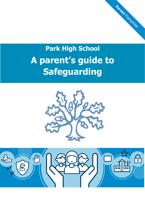# **Park High School A parent's guide to Safeguarding**

Parent Pamphlet



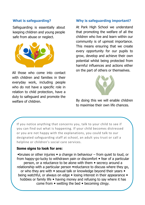### **What is safeguarding?**

Safeguarding is essentially about keeping children and young people safe from abuse or neglect.



All those who come into contact with children and families in their everyday work, including people who do not have a specific role in relation to child protection, have a duty to safeguard and promote the welfare of children.

#### **Why is safeguarding important?**

At Park High School we understand that promoting the welfare of all the children who live and learn within our community is of upmost importance. This means ensuring that we create every opportunity for our pupils to grow, develop and achieve their own potential whilst being protected from harmful influences and actions either on the part of others or themselves.



By doing this we will enable children to maximise their own life chances.

If you notice anything that concerns you, talk to your child to see if you can find out what is happening. If your child becomes distressed or you are not happy with the explanations, you could talk to our designated safeguarding staff at school, an adult you trust or call a helpline or children's social care services.

#### **Some signs to look for are:**

 $\bullet$  bruises or other injuries  $\bullet$  a change in behaviour – from quiet to loud, or from happy-go-lucky to withdrawn pain or discomfort  $\bullet$  fear of a particular person, or a reluctance to be alone with them  $\bullet$  secrecy around a relationship with a particular person  $\bullet$  reluctance to discuss where they go, or who they are with  $\bullet$  sexual talk or knowledge beyond their years  $\bullet$ being watchful, or always on edge • losing interest in their appearance • hobbies or family life  $\bullet$  having money and refusing to say where it has come from  $\bullet$  wetting the bed  $\bullet$  becoming clingy.